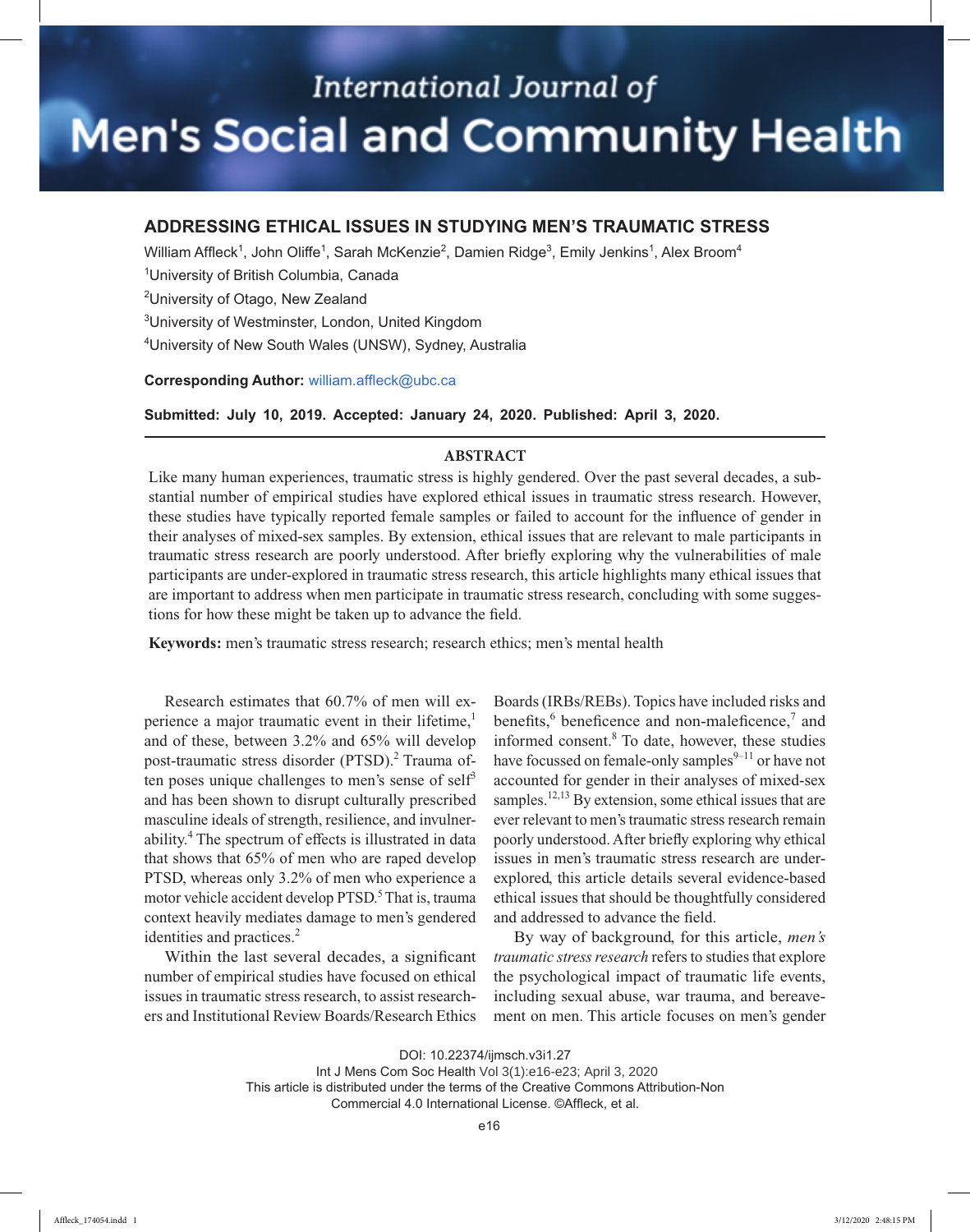# **International Journal of Men's Social and Community Health**

## **ADDRESSING ETHICAL ISSUES IN STUDYING MEN'S TRAUMATIC STRESS**

William Affleck<sup>1</sup>, John Oliffe<sup>1</sup>, Sarah McKenzie<sup>2</sup>, Damien Ridge<sup>3</sup>, Emily Jenkins<sup>1</sup>, Alex Broom<sup>4</sup>

<sup>1</sup>University of British Columbia, Canada

<sup>2</sup>University of Otago, New Zealand

<sup>3</sup>University of Westminster, London, United Kingdom

<sup>4</sup>University of New South Wales (UNSW), Sydney, Australia

### **Corresponding Author:** william.affleck@ubc.ca

**Submitted: July 10, 2019. Accepted: January 24, 2020. Published: April 3, 2020.** 

## **ABSTRACT**

Like many human experiences, traumatic stress is highly gendered. Over the past several decades, a substantial number of empirical studies have explored ethical issues in traumatic stress research. However, these studies have typically reported female samples or failed to account for the influence of gender in their analyses of mixed-sex samples. By extension, ethical issues that are relevant to male participants in traumatic stress research are poorly understood. After briefly exploring why the vulnerabilities of male participants are under-explored in traumatic stress research, this article highlights many ethical issues that are important to address when men participate in traumatic stress research, concluding with some suggestions for how these might be taken up to advance the field.

**Keywords:** men's traumatic stress research; research ethics; men's mental health

Research estimates that 60.7% of men will experience a major traumatic event in their lifetime, $<sup>1</sup>$ </sup> and of these, between 3.2% and 65% will develop post-traumatic stress disorder (PTSD).<sup>2</sup> Trauma often poses unique challenges to men's sense of self<sup>3</sup> and has been shown to disrupt culturally prescribed masculine ideals of strength, resilience, and invulnerability.<sup>4</sup> The spectrum of effects is illustrated in data that shows that 65% of men who are raped develop PTSD, whereas only 3.2% of men who experience a motor vehicle accident develop PTSD.<sup>5</sup> That is, trauma context heavily mediates damage to men's gendered identities and practices.<sup>2</sup>

Within the last several decades, a significant number of empirical studies have focused on ethical issues in traumatic stress research, to assist researchers and Institutional Review Boards/Research Ethics

Boards (IRBs/REBs). Topics have included risks and benefits,  $6$  beneficence and non-maleficence, $7$  and informed consent.<sup>8</sup> To date, however, these studies have focussed on female-only samples $9-11$  or have not accounted for gender in their analyses of mixed-sex samples.<sup>12,13</sup> By extension, some ethical issues that are ever relevant to men's traumatic stress research remain poorly understood. After briefly exploring why ethical issues in men's traumatic stress research are underexplored, this article details several evidence-based ethical issues that should be thoughtfully considered and addressed to advance the field.

By way of background, for this article, *men's traumatic stress research* refers to studies that explore the psychological impact of traumatic life events, including sexual abuse, war trauma, and bereavement on men. This article focuses on men's gender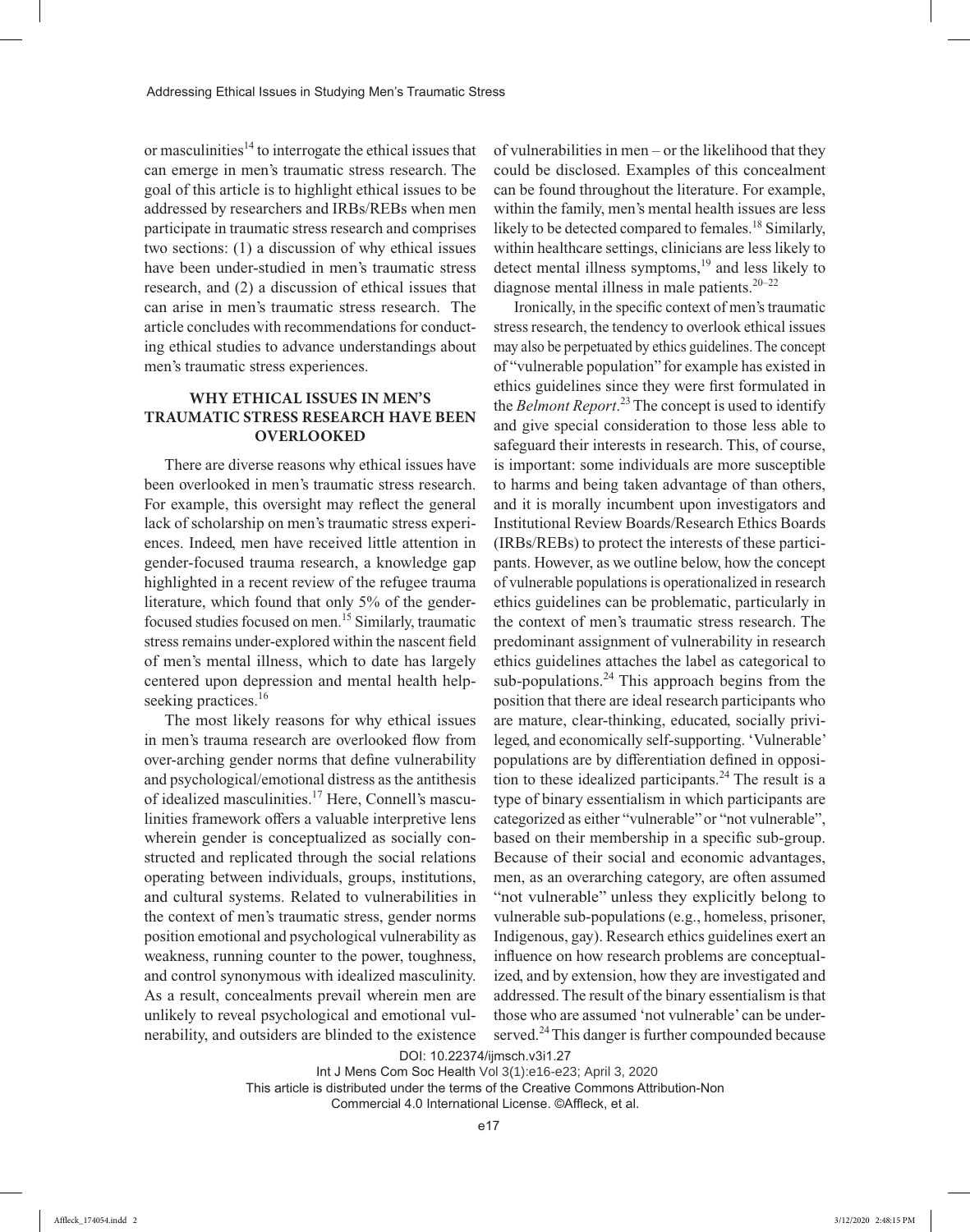or masculinities<sup>14</sup> to interrogate the ethical issues that can emerge in men's traumatic stress research. The goal of this article is to highlight ethical issues to be addressed by researchers and IRBs/REBs when men participate in traumatic stress research and comprises two sections: (1) a discussion of why ethical issues have been under-studied in men's traumatic stress research, and (2) a discussion of ethical issues that can arise in men's traumatic stress research. The article concludes with recommendations for conducting ethical studies to advance understandings about men's traumatic stress experiences.

## **WHY ETHICAL ISSUES IN MEN'S TRAUMATIC STRESS RESEARCH HAVE BEEN OVERLOOKED**

There are diverse reasons why ethical issues have been overlooked in men's traumatic stress research. For example, this oversight may reflect the general lack of scholarship on men's traumatic stress experiences. Indeed, men have received little attention in gender-focused trauma research, a knowledge gap highlighted in a recent review of the refugee trauma literature, which found that only 5% of the genderfocused studies focused on men.15 Similarly, traumatic stress remains under-explored within the nascent field of men's mental illness, which to date has largely centered upon depression and mental health helpseeking practices.<sup>16</sup>

The most likely reasons for why ethical issues in men's trauma research are overlooked flow from over-arching gender norms that define vulnerability and psychological/emotional distress as the antithesis of idealized masculinities.17 Here, Connell's masculinities framework offers a valuable interpretive lens wherein gender is conceptualized as socially constructed and replicated through the social relations operating between individuals, groups, institutions, and cultural systems. Related to vulnerabilities in the context of men's traumatic stress, gender norms position emotional and psychological vulnerability as weakness, running counter to the power, toughness, and control synonymous with idealized masculinity. As a result, concealments prevail wherein men are unlikely to reveal psychological and emotional vulnerability, and outsiders are blinded to the existence of vulnerabilities in men – or the likelihood that they could be disclosed. Examples of this concealment can be found throughout the literature. For example, within the family, men's mental health issues are less likely to be detected compared to females.<sup>18</sup> Similarly, within healthcare settings, clinicians are less likely to detect mental illness symptoms, $19$  and less likely to diagnose mental illness in male patients. $20-22$ 

Ironically, in the specific context of men's traumatic stress research, the tendency to overlook ethical issues may also be perpetuated by ethics guidelines. The concept of "vulnerable population" for example has existed in ethics guidelines since they were first formulated in the *Belmont Report*. 23 The concept is used to identify and give special consideration to those less able to safeguard their interests in research. This, of course, is important: some individuals are more susceptible to harms and being taken advantage of than others, and it is morally incumbent upon investigators and Institutional Review Boards/Research Ethics Boards (IRBs/REBs) to protect the interests of these participants. However, as we outline below, how the concept of vulnerable populations is operationalized in research ethics guidelines can be problematic, particularly in the context of men's traumatic stress research. The predominant assignment of vulnerability in research ethics guidelines attaches the label as categorical to sub-populations. $24$  This approach begins from the position that there are ideal research participants who are mature, clear-thinking, educated, socially privileged, and economically self-supporting. 'Vulnerable' populations are by differentiation defined in opposition to these idealized participants.<sup>24</sup> The result is a type of binary essentialism in which participants are categorized as either "vulnerable" or "not vulnerable", based on their membership in a specific sub-group. Because of their social and economic advantages, men, as an overarching category, are often assumed "not vulnerable" unless they explicitly belong to vulnerable sub-populations (e.g., homeless, prisoner, Indigenous, gay). Research ethics guidelines exert an influence on how research problems are conceptualized, and by extension, how they are investigated and addressed. The result of the binary essentialism is that those who are assumed 'not vulnerable' can be underserved.<sup>24</sup> This danger is further compounded because

DOI: 10.22374/ijmsch.v3i1.27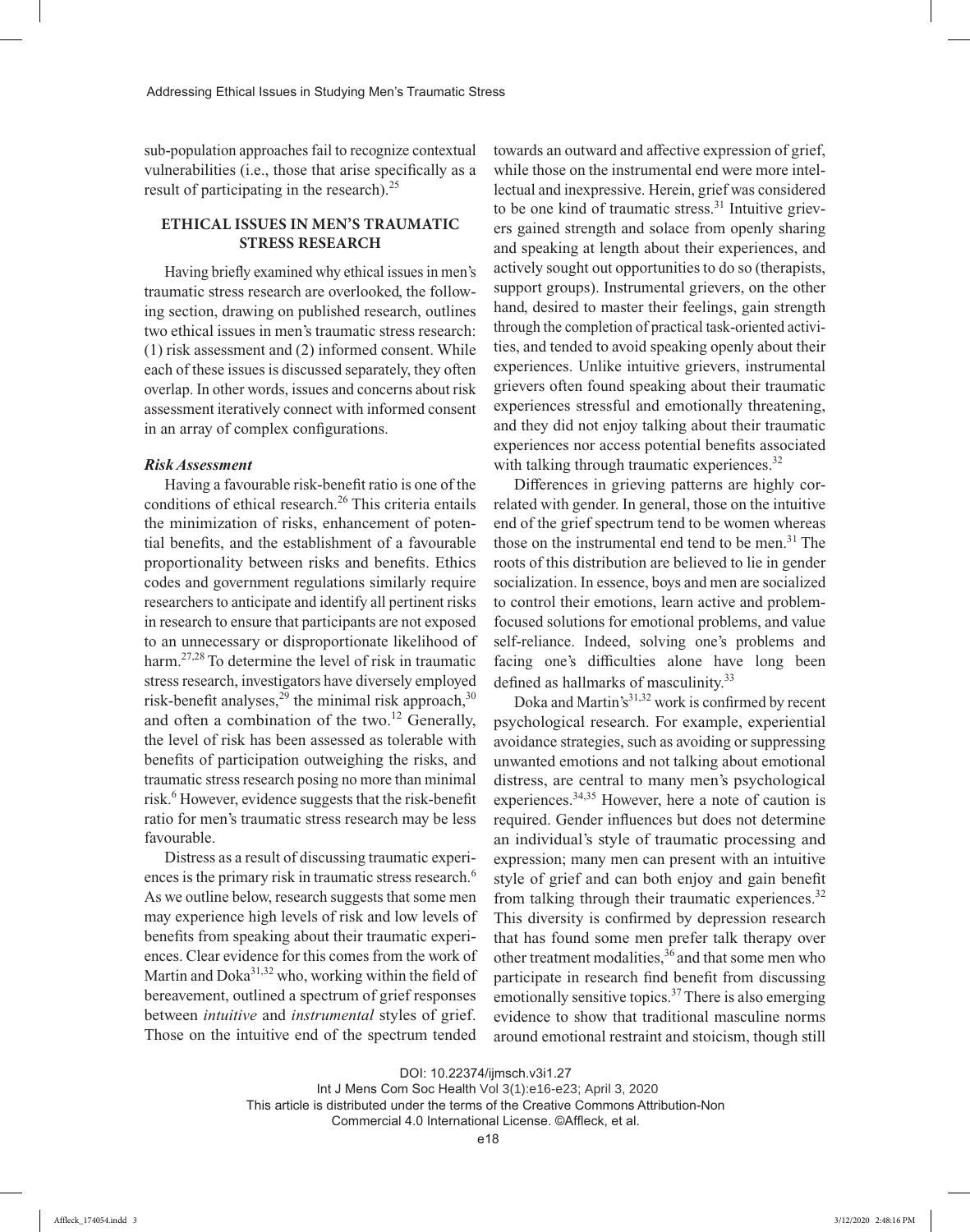sub-population approaches fail to recognize contextual vulnerabilities (i.e., those that arise specifically as a result of participating in the research). $^{25}$ 

## **ETHICAL ISSUES IN MEN'S TRAUMATIC STRESS RESEARCH**

Having briefly examined why ethical issues in men's traumatic stress research are overlooked, the following section, drawing on published research, outlines two ethical issues in men's traumatic stress research: (1) risk assessment and (2) informed consent. While each of these issues is discussed separately, they often overlap. In other words, issues and concerns about risk assessment iteratively connect with informed consent in an array of complex configurations.

#### *Risk Assessment*

Having a favourable risk-benefit ratio is one of the conditions of ethical research.<sup>26</sup> This criteria entails the minimization of risks, enhancement of potential benefits, and the establishment of a favourable proportionality between risks and benefits. Ethics codes and government regulations similarly require researchers to anticipate and identify all pertinent risks in research to ensure that participants are not exposed to an unnecessary or disproportionate likelihood of harm.27,28 To determine the level of risk in traumatic stress research, investigators have diversely employed risk-benefit analyses,  $29$  the minimal risk approach,  $30$ and often a combination of the two.<sup>12</sup> Generally, the level of risk has been assessed as tolerable with benefits of participation outweighing the risks, and traumatic stress research posing no more than minimal risk.<sup>6</sup> However, evidence suggests that the risk-benefit ratio for men's traumatic stress research may be less favourable.

Distress as a result of discussing traumatic experiences is the primary risk in traumatic stress research.<sup>6</sup> As we outline below, research suggests that some men may experience high levels of risk and low levels of benefits from speaking about their traumatic experiences. Clear evidence for this comes from the work of Martin and Doka<sup>31,32</sup> who, working within the field of bereavement, outlined a spectrum of grief responses between *intuitive* and *instrumental* styles of grief. Those on the intuitive end of the spectrum tended

towards an outward and affective expression of grief, while those on the instrumental end were more intellectual and inexpressive. Herein, grief was considered to be one kind of traumatic stress. $31$  Intuitive grievers gained strength and solace from openly sharing and speaking at length about their experiences, and actively sought out opportunities to do so (therapists, support groups). Instrumental grievers, on the other hand, desired to master their feelings, gain strength through the completion of practical task-oriented activities, and tended to avoid speaking openly about their experiences. Unlike intuitive grievers, instrumental grievers often found speaking about their traumatic experiences stressful and emotionally threatening, and they did not enjoy talking about their traumatic experiences nor access potential benefits associated with talking through traumatic experiences.<sup>32</sup>

Differences in grieving patterns are highly correlated with gender. In general, those on the intuitive end of the grief spectrum tend to be women whereas those on the instrumental end tend to be men. $31$  The roots of this distribution are believed to lie in gender socialization. In essence, boys and men are socialized to control their emotions, learn active and problemfocused solutions for emotional problems, and value self-reliance. Indeed, solving one's problems and facing one's difficulties alone have long been defined as hallmarks of masculinity.<sup>33</sup>

Doka and Martin's $31,32$  work is confirmed by recent psychological research. For example, experiential avoidance strategies, such as avoiding or suppressing unwanted emotions and not talking about emotional distress, are central to many men's psychological experiences.34,35 However, here a note of caution is required. Gender influences but does not determine an individual's style of traumatic processing and expression; many men can present with an intuitive style of grief and can both enjoy and gain benefit from talking through their traumatic experiences.<sup>32</sup> This diversity is confirmed by depression research that has found some men prefer talk therapy over other treatment modalities,  $36$  and that some men who participate in research find benefit from discussing emotionally sensitive topics.<sup>37</sup> There is also emerging evidence to show that traditional masculine norms around emotional restraint and stoicism, though still

Int J Mens Com Soc Health Vol 3(1):e16-e23; April 3, 2020

This article is distributed under the terms of the Creative Commons Attribution-Non

Commercial 4.0 International License. ©Affleck, et al.

DOI: 10.22374/ijmsch.v3i1.27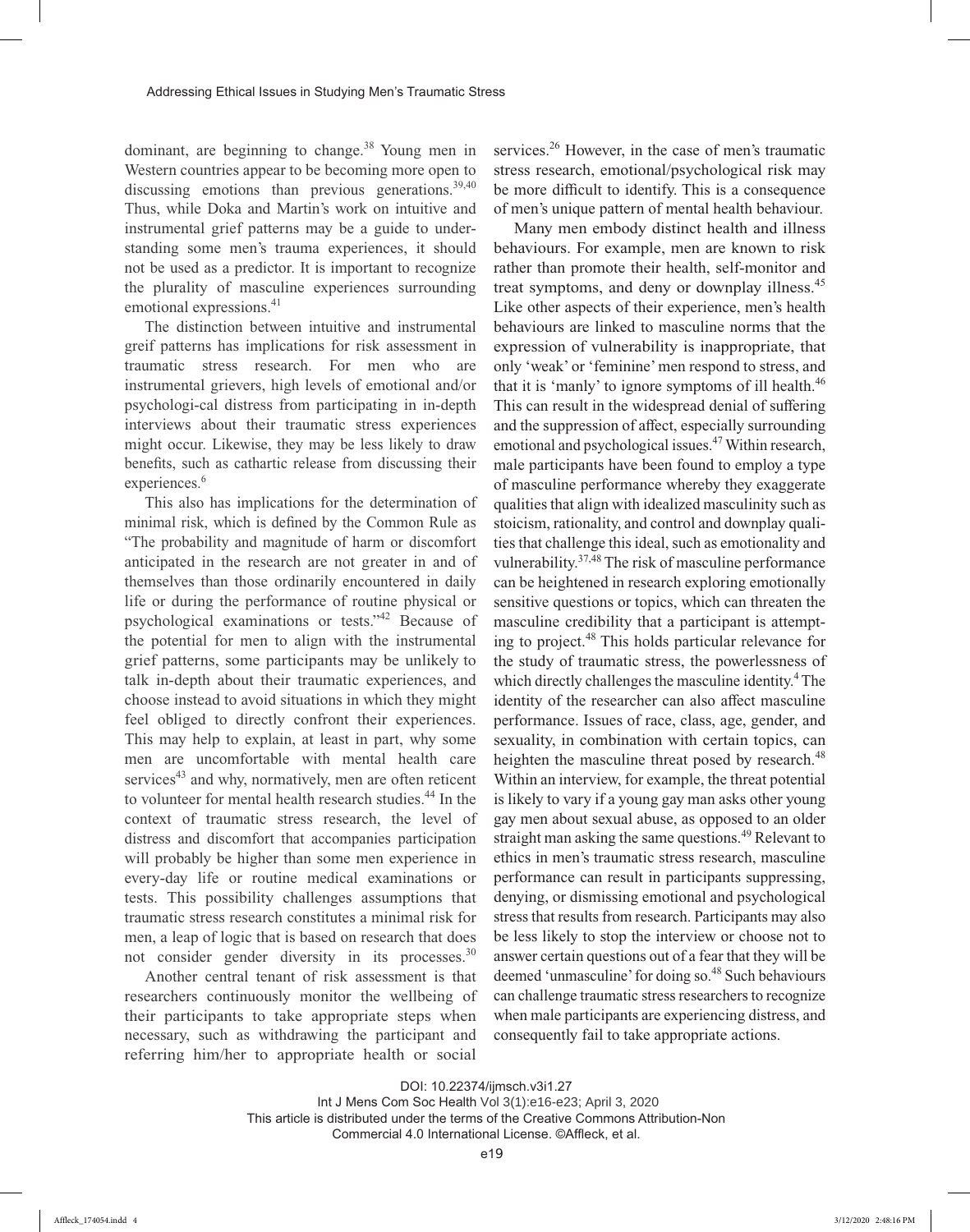dominant, are beginning to change. $38$  Young men in Western countries appear to be becoming more open to discussing emotions than previous generations.  $39,40$ Thus, while Doka and Martin's work on intuitive and instrumental grief patterns may be a guide to understanding some men's trauma experiences, it should not be used as a predictor. It is important to recognize the plurality of masculine experiences surrounding emotional expressions.<sup>41</sup>

The distinction between intuitive and instrumental greif patterns has implications for risk assessment in traumatic stress research. For men who are instrumental grievers, high levels of emotional and/or psychologi-cal distress from participating in in-depth interviews about their traumatic stress experiences might occur. Likewise, they may be less likely to draw benefits, such as cathartic release from discussing their experiences.<sup>6</sup>

This also has implications for the determination of minimal risk, which is defined by the Common Rule as "The probability and magnitude of harm or discomfort anticipated in the research are not greater in and of themselves than those ordinarily encountered in daily life or during the performance of routine physical or psychological examinations or tests."<sup>42</sup> Because of the potential for men to align with the instrumental grief patterns, some participants may be unlikely to talk in-depth about their traumatic experiences, and choose instead to avoid situations in which they might feel obliged to directly confront their experiences. This may help to explain, at least in part, why some men are uncomfortable with mental health care services<sup>43</sup> and why, normatively, men are often reticent to volunteer for mental health research studies.<sup>44</sup> In the context of traumatic stress research, the level of distress and discomfort that accompanies participation will probably be higher than some men experience in every-day life or routine medical examinations or tests. This possibility challenges assumptions that traumatic stress research constitutes a minimal risk for men, a leap of logic that is based on research that does not consider gender diversity in its processes.<sup>30</sup>

Another central tenant of risk assessment is that researchers continuously monitor the wellbeing of their participants to take appropriate steps when necessary, such as withdrawing the participant and referring him/her to appropriate health or social

services.<sup>26</sup> However, in the case of men's traumatic stress research, emotional/psychological risk may be more difficult to identify. This is a consequence of men's unique pattern of mental health behaviour.

Many men embody distinct health and illness behaviours. For example, men are known to risk rather than promote their health, self-monitor and treat symptoms, and deny or downplay illness.<sup>45</sup> Like other aspects of their experience, men's health behaviours are linked to masculine norms that the expression of vulnerability is inappropriate, that only 'weak' or 'feminine' men respond to stress, and that it is 'manly' to ignore symptoms of ill health. $46$ This can result in the widespread denial of suffering and the suppression of affect, especially surrounding emotional and psychological issues.47 Within research, male participants have been found to employ a type of masculine performance whereby they exaggerate qualities that align with idealized masculinity such as stoicism, rationality, and control and downplay qualities that challenge this ideal, such as emotionality and vulnerability.37,48 The risk of masculine performance can be heightened in research exploring emotionally sensitive questions or topics, which can threaten the masculine credibility that a participant is attempting to project.48 This holds particular relevance for the study of traumatic stress, the powerlessness of which directly challenges the masculine identity.<sup>4</sup> The identity of the researcher can also affect masculine performance. Issues of race, class, age, gender, and sexuality, in combination with certain topics, can heighten the masculine threat posed by research.<sup>48</sup> Within an interview, for example, the threat potential is likely to vary if a young gay man asks other young gay men about sexual abuse, as opposed to an older straight man asking the same questions.<sup>49</sup> Relevant to ethics in men's traumatic stress research, masculine performance can result in participants suppressing, denying, or dismissing emotional and psychological stress that results from research. Participants may also be less likely to stop the interview or choose not to answer certain questions out of a fear that they will be deemed 'unmasculine' for doing so.<sup>48</sup> Such behaviours can challenge traumatic stress researchers to recognize when male participants are experiencing distress, and consequently fail to take appropriate actions.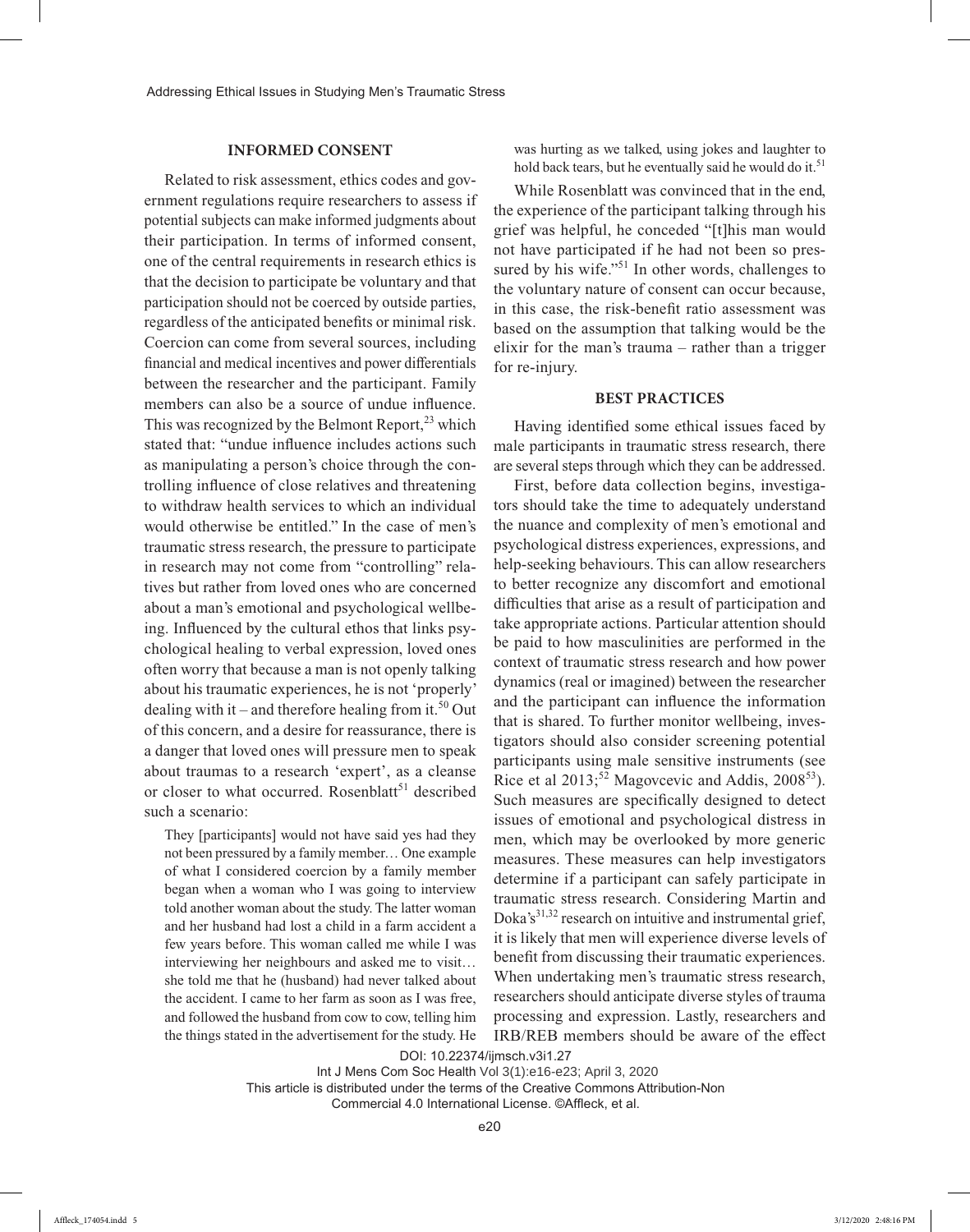#### **INFORMED CONSENT**

Related to risk assessment, ethics codes and government regulations require researchers to assess if potential subjects can make informed judgments about their participation. In terms of informed consent, one of the central requirements in research ethics is that the decision to participate be voluntary and that participation should not be coerced by outside parties, regardless of the anticipated benefits or minimal risk. Coercion can come from several sources, including financial and medical incentives and power differentials between the researcher and the participant. Family members can also be a source of undue influence. This was recognized by the Belmont Report, $^{23}$  which stated that: "undue influence includes actions such as manipulating a person's choice through the controlling influence of close relatives and threatening to withdraw health services to which an individual would otherwise be entitled." In the case of men's traumatic stress research, the pressure to participate in research may not come from "controlling" relatives but rather from loved ones who are concerned about a man's emotional and psychological wellbeing. Influenced by the cultural ethos that links psychological healing to verbal expression, loved ones often worry that because a man is not openly talking about his traumatic experiences, he is not 'properly' dealing with it – and therefore healing from it.<sup>50</sup> Out of this concern, and a desire for reassurance, there is a danger that loved ones will pressure men to speak about traumas to a research 'expert', as a cleanse or closer to what occurred. Rosenblatt<sup>51</sup> described such a scenario:

They [participants] would not have said yes had they not been pressured by a family member… One example of what I considered coercion by a family member began when a woman who I was going to interview told another woman about the study. The latter woman and her husband had lost a child in a farm accident a few years before. This woman called me while I was interviewing her neighbours and asked me to visit… she told me that he (husband) had never talked about the accident. I came to her farm as soon as I was free, and followed the husband from cow to cow, telling him the things stated in the advertisement for the study. He was hurting as we talked, using jokes and laughter to hold back tears, but he eventually said he would do it.<sup>51</sup>

While Rosenblatt was convinced that in the end, the experience of the participant talking through his grief was helpful, he conceded "[t]his man would not have participated if he had not been so pressured by his wife."<sup>51</sup> In other words, challenges to the voluntary nature of consent can occur because, in this case, the risk-benefit ratio assessment was based on the assumption that talking would be the elixir for the man's trauma – rather than a trigger for re-injury.

#### **BEST PRACTICES**

Having identified some ethical issues faced by male participants in traumatic stress research, there are several steps through which they can be addressed.

First, before data collection begins, investigators should take the time to adequately understand the nuance and complexity of men's emotional and psychological distress experiences, expressions, and help-seeking behaviours. This can allow researchers to better recognize any discomfort and emotional difficulties that arise as a result of participation and take appropriate actions. Particular attention should be paid to how masculinities are performed in the context of traumatic stress research and how power dynamics (real or imagined) between the researcher and the participant can influence the information that is shared. To further monitor wellbeing, investigators should also consider screening potential participants using male sensitive instruments (see Rice et al  $2013$ <sup>52</sup> Magovcevic and Addis,  $2008^{53}$ ). Such measures are specifically designed to detect issues of emotional and psychological distress in men, which may be overlooked by more generic measures. These measures can help investigators determine if a participant can safely participate in traumatic stress research. Considering Martin and Doka's<sup>31,32</sup> research on intuitive and instrumental grief, it is likely that men will experience diverse levels of benefit from discussing their traumatic experiences. When undertaking men's traumatic stress research, researchers should anticipate diverse styles of trauma processing and expression. Lastly, researchers and IRB/REB members should be aware of the effect

DOI: 10.22374/ijmsch.v3i1.27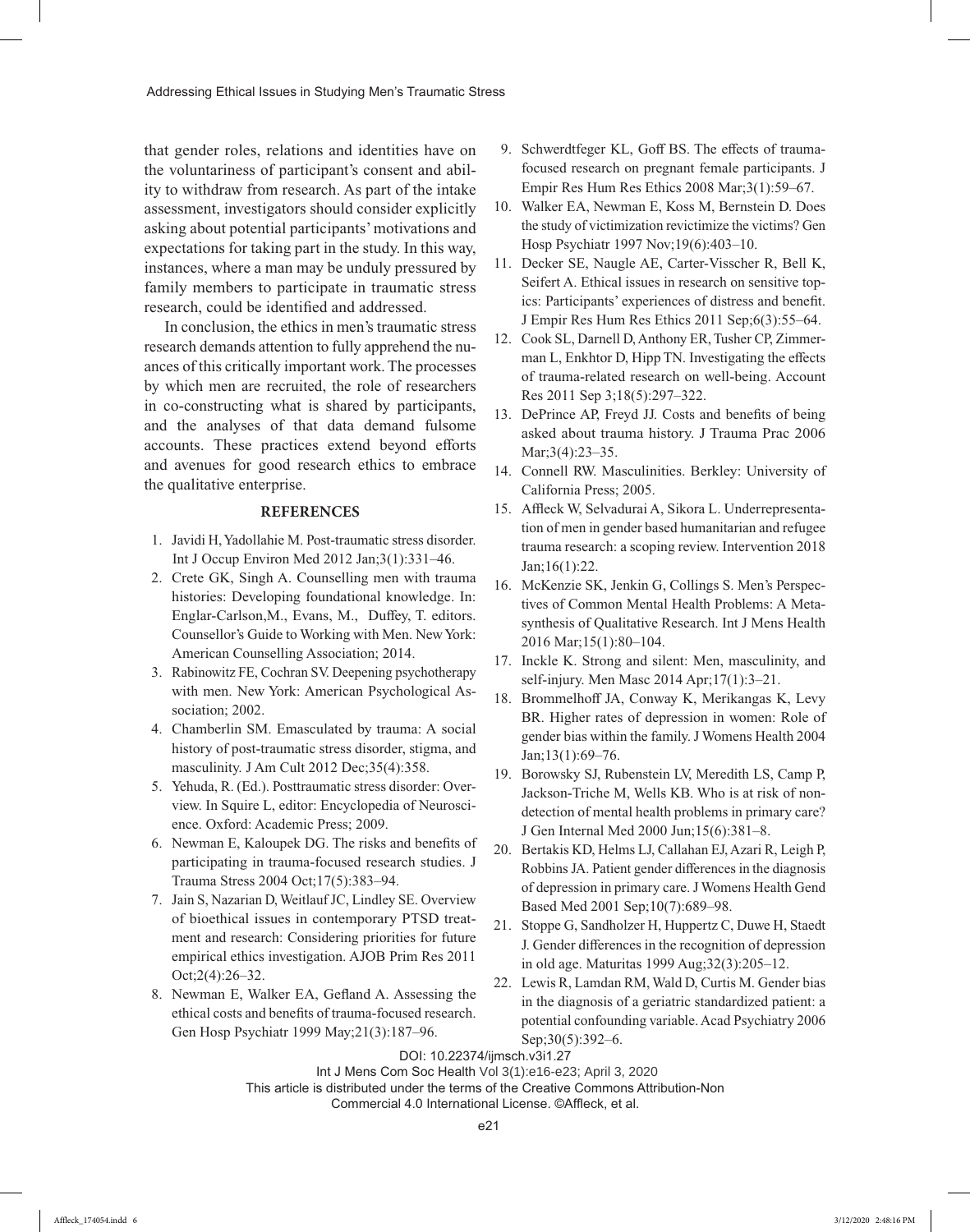that gender roles, relations and identities have on the voluntariness of participant's consent and ability to withdraw from research. As part of the intake assessment, investigators should consider explicitly asking about potential participants' motivations and expectations for taking part in the study. In this way, instances, where a man may be unduly pressured by family members to participate in traumatic stress research, could be identified and addressed.

In conclusion, the ethics in men's traumatic stress research demands attention to fully apprehend the nuances of this critically important work. The processes by which men are recruited, the role of researchers in co-constructing what is shared by participants, and the analyses of that data demand fulsome accounts. These practices extend beyond efforts and avenues for good research ethics to embrace the qualitative enterprise.

#### **REFERENCES**

- 1. Javidi H, Yadollahie M. Post-traumatic stress disorder. Int J Occup Environ Med 2012 Jan;3(1):331–46.
- 2. Crete GK, Singh A. Counselling men with trauma histories: Developing foundational knowledge. In: Englar-Carlson,M., Evans, M., Duffey, T. editors. Counsellor's Guide to Working with Men. New York: American Counselling Association; 2014.
- 3. Rabinowitz FE, Cochran SV. Deepening psychotherapy with men. New York: American Psychological Association: 2002.
- 4. Chamberlin SM. Emasculated by trauma: A social history of post-traumatic stress disorder, stigma, and masculinity. J Am Cult 2012 Dec;35(4):358.
- 5. Yehuda, R. (Ed.). Posttraumatic stress disorder: Overview. In Squire L, editor: Encyclopedia of Neuroscience. Oxford: Academic Press; 2009.
- 6. Newman E, Kaloupek DG. The risks and benefits of participating in trauma-focused research studies. J Trauma Stress 2004 Oct;17(5):383–94.
- 7. Jain S, Nazarian D, Weitlauf JC, Lindley SE. Overview of bioethical issues in contemporary PTSD treatment and research: Considering priorities for future empirical ethics investigation. AJOB Prim Res 2011 Oct;2(4):26–32.
- 8. Newman E, Walker EA, Gefland A. Assessing the ethical costs and benefits of trauma-focused research. Gen Hosp Psychiatr 1999 May;21(3):187–96.
- 9. Schwerdtfeger KL, Goff BS. The effects of traumafocused research on pregnant female participants. J Empir Res Hum Res Ethics 2008 Mar;3(1):59–67.
- 10. Walker EA, Newman E, Koss M, Bernstein D. Does the study of victimization revictimize the victims? Gen Hosp Psychiatr 1997 Nov;19(6):403–10.
- 11. Decker SE, Naugle AE, Carter-Visscher R, Bell K, Seifert A. Ethical issues in research on sensitive topics: Participants' experiences of distress and benefit. J Empir Res Hum Res Ethics 2011 Sep;6(3):55–64.
- 12. Cook SL, Darnell D, Anthony ER, Tusher CP, Zimmerman L, Enkhtor D, Hipp TN. Investigating the effects of trauma-related research on well-being. Account Res 2011 Sep 3;18(5):297–322.
- 13. DePrince AP, Freyd JJ. Costs and benefits of being asked about trauma history. J Trauma Prac 2006 Mar; 3(4): 23–35.
- 14. Connell RW. Masculinities. Berkley: University of California Press; 2005.
- 15. Affleck W, Selvadurai A, Sikora L. Underrepresentation of men in gender based humanitarian and refugee trauma research: a scoping review. Intervention 2018 Jan;16(1):22.
- 16. McKenzie SK, Jenkin G, Collings S. Men's Perspectives of Common Mental Health Problems: A Metasynthesis of Qualitative Research. Int J Mens Health 2016 Mar;15(1):80–104.
- 17. Inckle K. Strong and silent: Men, masculinity, and self-injury. Men Masc 2014 Apr;17(1):3–21.
- 18. Brommelhoff JA, Conway K, Merikangas K, Levy BR. Higher rates of depression in women: Role of gender bias within the family. J Womens Health 2004 Jan;13(1):69–76.
- 19. Borowsky SJ, Rubenstein LV, Meredith LS, Camp P, Jackson-Triche M, Wells KB. Who is at risk of nondetection of mental health problems in primary care? J Gen Internal Med 2000 Jun;15(6):381–8.
- 20. Bertakis KD, Helms LJ, Callahan EJ, Azari R, Leigh P, Robbins JA. Patient gender differences in the diagnosis of depression in primary care. J Womens Health Gend Based Med 2001 Sep;10(7):689–98.
- 21. Stoppe G, Sandholzer H, Huppertz C, Duwe H, Staedt J. Gender differences in the recognition of depression in old age. Maturitas 1999 Aug;32(3):205–12.
- 22. Lewis R, Lamdan RM, Wald D, Curtis M. Gender bias in the diagnosis of a geriatric standardized patient: a potential confounding variable. Acad Psychiatry 2006 Sep;30(5):392–6.

DOI: 10.22374/ijmsch.v3i1.27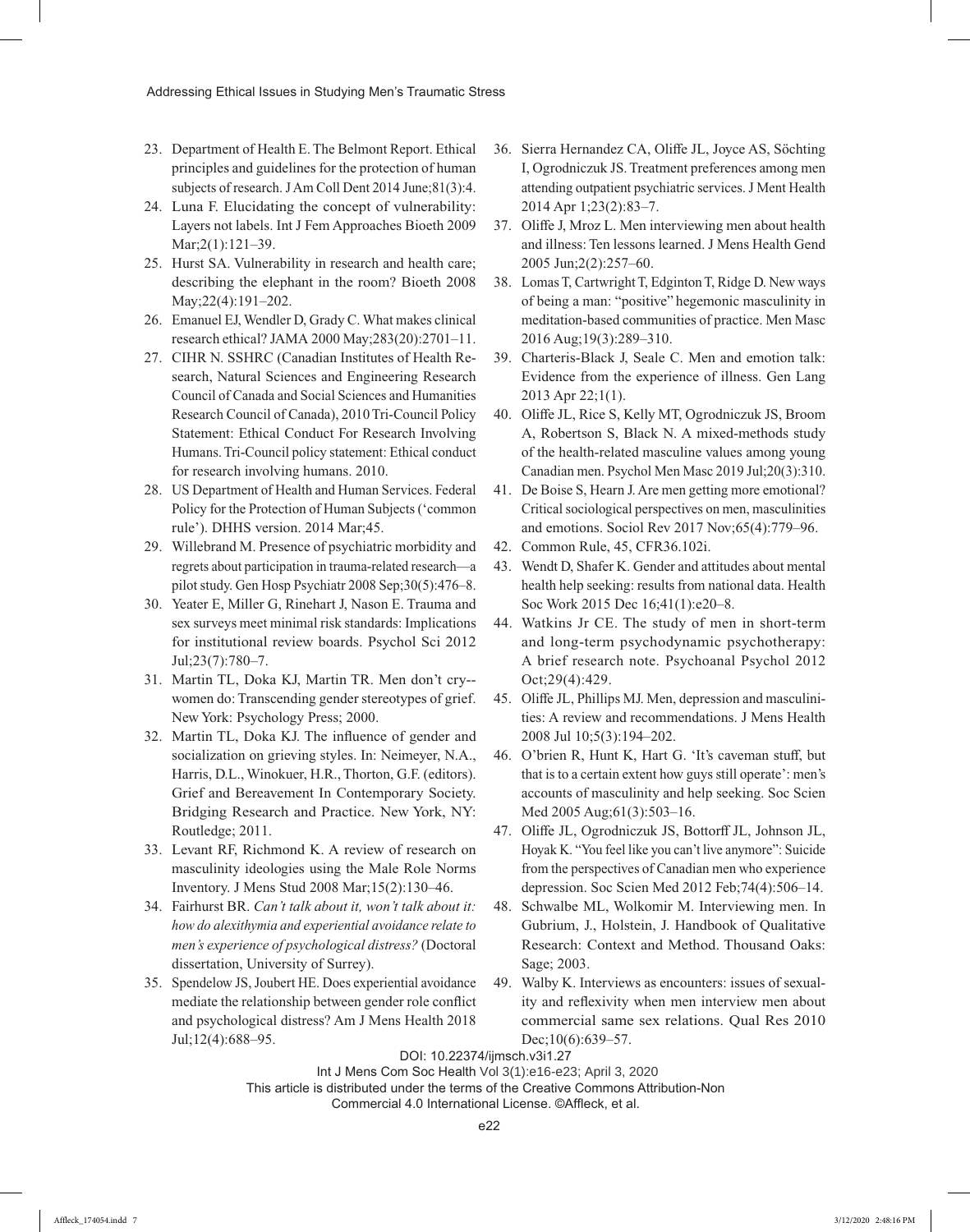- 23. Department of Health E. The Belmont Report. Ethical principles and guidelines for the protection of human subjects of research. J Am Coll Dent 2014 June;81(3):4.
- 24. Luna F. Elucidating the concept of vulnerability: Layers not labels. Int J Fem Approaches Bioeth 2009 Mar;2(1):121–39.
- 25. Hurst SA. Vulnerability in research and health care; describing the elephant in the room? Bioeth 2008 May;22(4):191–202.
- 26. Emanuel EJ, Wendler D, Grady C. What makes clinical research ethical? JAMA 2000 May;283(20):2701–11.
- 27. CIHR N. SSHRC (Canadian Institutes of Health Research, Natural Sciences and Engineering Research Council of Canada and Social Sciences and Humanities Research Council of Canada), 2010 Tri-Council Policy Statement: Ethical Conduct For Research Involving Humans. Tri-Council policy statement: Ethical conduct for research involving humans. 2010.
- 28. US Department of Health and Human Services. Federal Policy for the Protection of Human Subjects ('common rule'). DHHS version. 2014 Mar;45.
- 29. Willebrand M. Presence of psychiatric morbidity and regrets about participation in trauma-related research—a pilot study. Gen Hosp Psychiatr 2008 Sep;30(5):476–8.
- 30. Yeater E, Miller G, Rinehart J, Nason E. Trauma and sex surveys meet minimal risk standards: Implications for institutional review boards. Psychol Sci 2012 Jul;23(7):780–7.
- 31. Martin TL, Doka KJ, Martin TR. Men don't cry- women do: Transcending gender stereotypes of grief. New York: Psychology Press; 2000.
- 32. Martin TL, Doka KJ. The influence of gender and socialization on grieving styles. In: Neimeyer, N.A., Harris, D.L., Winokuer, H.R., Thorton, G.F. (editors). Grief and Bereavement In Contemporary Society. Bridging Research and Practice. New York, NY: Routledge; 2011.
- 33. Levant RF, Richmond K. A review of research on masculinity ideologies using the Male Role Norms Inventory. J Mens Stud 2008 Mar;15(2):130–46.
- 34. Fairhurst BR. *Can't talk about it, won't talk about it: how do alexithymia and experiential avoidance relate to men's experience of psychological distress?* (Doctoral dissertation, University of Surrey).
- 35. Spendelow JS, Joubert HE. Does experiential avoidance mediate the relationship between gender role conflict and psychological distress? Am J Mens Health 2018 Jul;12(4):688–95.
- 36. Sierra Hernandez CA, Oliffe JL, Joyce AS, Söchting I, Ogrodniczuk JS. Treatment preferences among men attending outpatient psychiatric services. J Ment Health 2014 Apr 1;23(2):83–7.
- 37. Oliffe J, Mroz L. Men interviewing men about health and illness: Ten lessons learned. J Mens Health Gend 2005 Jun;2(2):257–60.
- 38. Lomas T, Cartwright T, Edginton T, Ridge D. New ways of being a man: "positive" hegemonic masculinity in meditation-based communities of practice. Men Masc 2016 Aug;19(3):289–310.
- 39. Charteris-Black J, Seale C. Men and emotion talk: Evidence from the experience of illness. Gen Lang 2013 Apr 22;1(1).
- 40. Oliffe JL, Rice S, Kelly MT, Ogrodniczuk JS, Broom A, Robertson S, Black N. A mixed-methods study of the health-related masculine values among young Canadian men. Psychol Men Masc 2019 Jul;20(3):310.
- 41. De Boise S, Hearn J. Are men getting more emotional? Critical sociological perspectives on men, masculinities and emotions. Sociol Rev 2017 Nov;65(4):779–96.
- 42. Common Rule, 45, CFR36.102i.
- 43. Wendt D, Shafer K. Gender and attitudes about mental health help seeking: results from national data. Health Soc Work 2015 Dec 16;41(1):e20–8.
- 44. Watkins Jr CE. The study of men in short-term and long-term psychodynamic psychotherapy: A brief research note. Psychoanal Psychol 2012 Oct;29(4):429.
- 45. Oliffe JL, Phillips MJ. Men, depression and masculinities: A review and recommendations. J Mens Health 2008 Jul 10;5(3):194–202.
- 46. O'brien R, Hunt K, Hart G. 'It's caveman stuff, but that is to a certain extent how guys still operate': men's accounts of masculinity and help seeking. Soc Scien Med 2005 Aug;61(3):503–16.
- 47. Oliffe JL, Ogrodniczuk JS, Bottorff JL, Johnson JL, Hoyak K. "You feel like you can't live anymore": Suicide from the perspectives of Canadian men who experience depression. Soc Scien Med 2012 Feb;74(4):506–14.
- 48. Schwalbe ML, Wolkomir M. Interviewing men. In Gubrium, J., Holstein, J. Handbook of Qualitative Research: Context and Method. Thousand Oaks: Sage; 2003.
- 49. Walby K. Interviews as encounters: issues of sexuality and reflexivity when men interview men about commercial same sex relations. Qual Res 2010 Dec;10(6):639–57.

#### DOI: 10.22374/ijmsch.v3i1.27